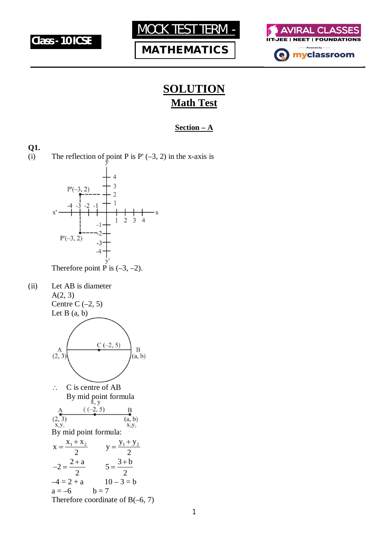





## **SOLUTION Math Test**

#### **Section – A**

#### **Q1.**

(i) The reflection of point P is P'  $(-3, 2)$  in the x-axis is



Therefore point P is  $(-3, -2)$ .

(ii) Let AB is diameter A(2, 3) Centre C $(-2, 5)$ 

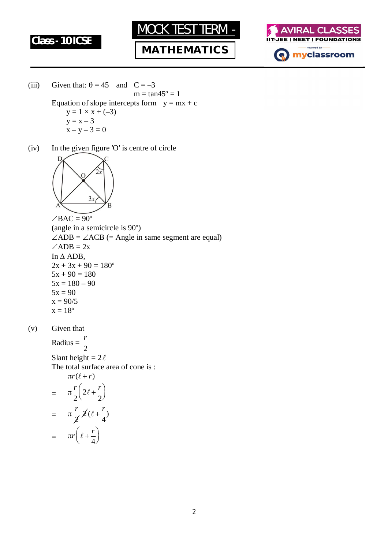

**MATHEMATICS**



- (iii) Given that:  $\theta = 45$  and  $C = -3$  $m = \tan 45^{\circ} = 1$ Equation of slope intercepts form  $y = mx + c$  $y = 1 \times x + (-3)$  $y = x - 3$  $x - y - 3 = 0$
- (iv) In the given figure 'O' is centre of circle



 $\angle BAC = 90^{\circ}$ (angle in a semicircle is 90º)  $\angle ADB = \angle ACB$  (= Angle in same segment are equal)  $\angle ADB = 2x$ In  $\triangle$  ADB,  $2x + 3x + 90 = 180^{\circ}$  $5x + 90 = 180$  $5x = 180 - 90$  $5x = 90$  $x = 90/5$  $x = 18^{\circ}$ 

(v) Given that

Radius = 2 *r*

Slant height =  $2\ell$ The total surface area of cone is :  $\pi r(\ell + r)$ 

$$
= \pi \frac{r}{2} \left( 2\ell + \frac{r}{2} \right)
$$

$$
= \pi \frac{r}{2} 2(\ell + \frac{r}{4})
$$

$$
= \pi r \left( \ell + \frac{r}{4} \right)
$$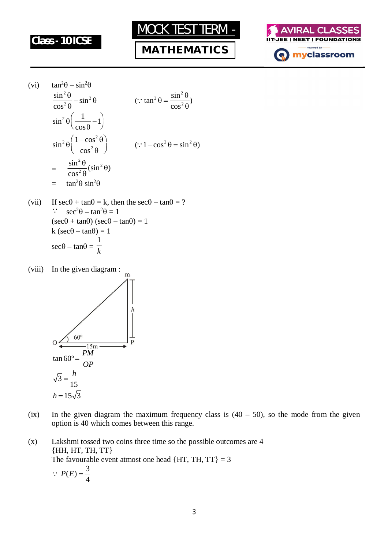

## **MATHEMATICS**



(vi) 
$$
\tan^2 \theta - \sin^2 \theta
$$
  
\n
$$
\frac{\sin^2 \theta}{\cos^2 \theta} - \sin^2 \theta \qquad (\because \tan^2 \theta = \frac{\sin^2 \theta}{\cos^2 \theta})
$$
\n
$$
\sin^2 \theta \left(\frac{1}{\cos \theta} - 1\right)
$$
\n
$$
\sin^2 \theta \left(\frac{1 - \cos^2 \theta}{\cos^2 \theta}\right) \qquad (\because 1 - \cos^2 \theta = \sin^2 \theta)
$$
\n
$$
= \frac{\sin^2 \theta}{\cos^2 \theta} (\sin^2 \theta)
$$
\n
$$
= \tan^2 \theta \sin^2 \theta
$$

- (vii) If  $\sec\theta + \tan\theta = k$ , then the  $\sec\theta \tan\theta = ?$  $\therefore$  sec<sup>2</sup> $\theta$  – tan<sup>2</sup> $\theta$  = 1  $(\sec\theta + \tan\theta) (\sec\theta - \tan\theta) = 1$  $k (sec\theta - tan\theta) = 1$  $\sec\theta - \tan\theta =$ 1 *k*
- (viii) In the given diagram :  $\frac{1}{m}$



- (ix) In the given diagram the maximum frequency class is  $(40 50)$ , so the mode from the given option is 40 which comes between this range.
- (x) Lakshmi tossed two coins three time so the possible outcomes are 4 {HH, HT, TH, TT} The favourable event atmost one head  ${HT, TH, TT} = 3$ 3

$$
\because P(E) = \frac{3}{4}
$$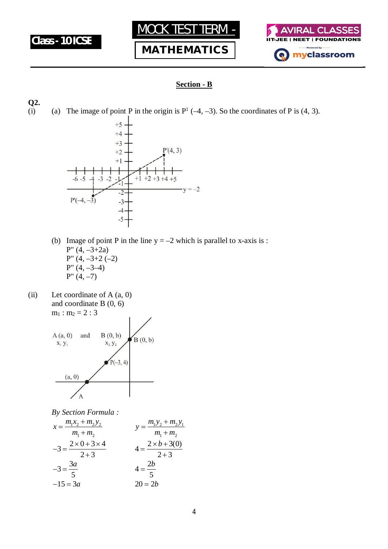





#### **Section - B**

**Q2.**

(i) (a) The image of point P in the origin is  $P^1$  (-4, -3). So the coordinates of P is (4, 3).



- (b) Image of point P in the line  $y = -2$  which is parallel to x-axis is : P"  $(4, -3+2a)$ P"  $(4, -3+2) (-2)$  $P''(4, -3-4)$  $P''(4, -7)$
- (ii) Let coordinate of  $A(a, 0)$ and coordinate B (0, 6)  $m_1 : m_2 = 2 : 3$



*By Section Formula :*

$$
x = \frac{m_1 x_2 + m_2 y_2}{m_1 + m_2}
$$
  
\n
$$
y = \frac{m_1 y_2 + m_2 y_1}{m_1 + m_2}
$$
  
\n
$$
y = \frac{m_1 y_2 + m_2 y_1}{m_1 + m_2}
$$
  
\n
$$
y = \frac{m_1 y_2 + m_2 y_1}{m_1 + m_2}
$$
  
\n
$$
4 = \frac{2 \times b + 3(0)}{2 + 3}
$$
  
\n
$$
4 = \frac{2b}{5}
$$
  
\n
$$
-15 = 3a
$$
  
\n
$$
20 = 2b
$$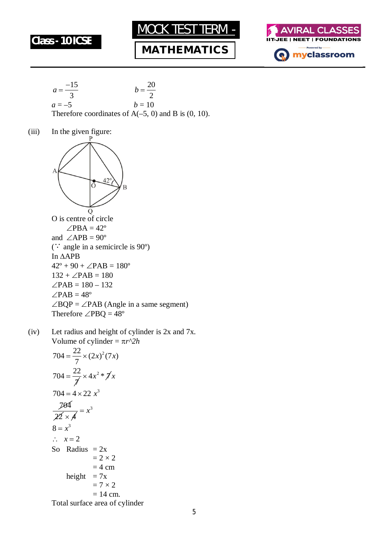

## **MATHEMATICS**





(iii) In the given figure:



( $\therefore$  angle in a semicircle is 90 $\degree$ ) In APB  $42^{\circ} + 90 + \angle PAB = 180^{\circ}$  $132 + \angle PAB = 180$  $\angle$ PAB = 180 – 132  $\angle$ PAB = 48°  $\angle BQP = \angle PAB$  (Angle in a same segment) Therefore  $\angle$ PBQ = 48<sup>°</sup>

(iv) Let radius and height of cylinder is 2x and 7x. Volume of cylinder =  $\pi r^2 h$  $704 = \frac{22}{7} \times (2x)^2 (7x)$ 7  $=\frac{22}{7} \times (2x)^2 (7x)$  $704 = \frac{22}{7}$  $\overline{\lambda}$  $=\frac{22}{7}\times 4x^2*\cancel{\pi}$ 

$$
704 = 4 \times 22 x3
$$
  
\n
$$
\frac{704}{22 \times 4} = x3
$$
  
\n
$$
8 = x3
$$
  
\n
$$
\therefore x = 2
$$
  
\nSo Radius = 2x  
\n
$$
= 2 \times 2
$$
  
\n
$$
= 4 \text{ cm}
$$
  
\nheight = 7x  
\n
$$
= 7 \times 2
$$
  
\n
$$
= 14 \text{ cm}.
$$
  
\nTotal surface area of cylinder

Total surface area of cylinder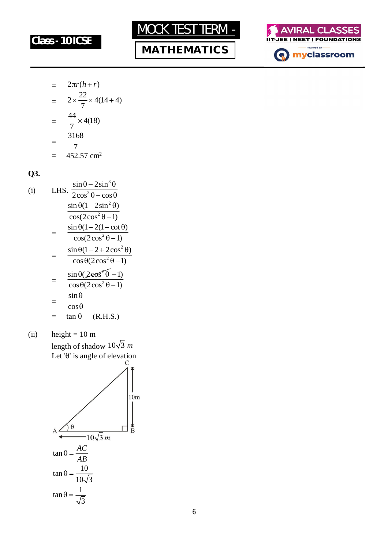







$$
= 2\pi r(h+r)
$$
  
=  $2 \times \frac{22}{7} \times 4(14+4)$   
=  $\frac{44}{7} \times 4(18)$   
=  $\frac{3168}{7}$   
= 452.57 cm<sup>2</sup>

**Q3.**

(i) LHS. 
$$
\frac{\sin \theta - 2\sin^3 \theta}{2\cos^3 \theta - \cos \theta}
$$

$$
\frac{\sin \theta (1 - 2\sin^2 \theta)}{\cos(2\cos^2 \theta - 1)}
$$

$$
= \frac{\sin \theta (1 - 2(1 - \cot \theta))}{\cos(2\cos^2 \theta - 1)}
$$

$$
= \frac{\sin \theta (1 - 2 + 2\cos^2 \theta)}{\cos \theta (2\cos^2 \theta - 1)}
$$

$$
= \frac{\sin \theta (2\cos^2 \theta - 1)}{\cos \theta (2\cos^2 \theta - 1)}
$$

$$
= \frac{\sin \theta}{\cos \theta}
$$

$$
= \tan \theta \quad (R.H.S.)
$$

(ii) height =  $10 \text{ m}$ length of shadow  $10\sqrt{3}$  *m* Let  $\theta$  is angle of elevation

$$
A \frac{\theta}{\sin \theta} = \frac{AC}{AB}
$$
\n
$$
\tan \theta = \frac{AC}{\frac{10}{10\sqrt{3}}}
$$
\n
$$
\tan \theta = \frac{10}{\frac{10}{\sqrt{3}}}
$$
\n
$$
\tan \theta = \frac{1}{\sqrt{3}}
$$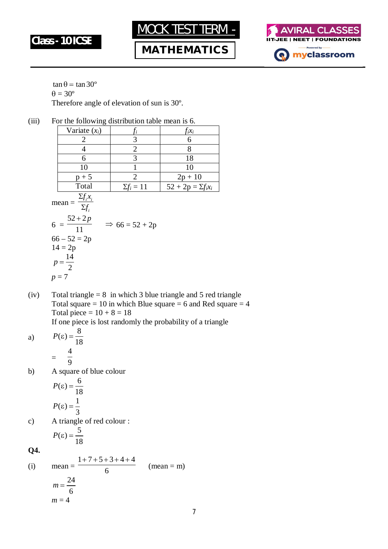





 $\tan \theta = \tan 30^\circ$  $\theta = 30^{\circ}$ Therefore angle of elevation of sun is 30º.

|                                                                                                                                                                          | -0              |                   |                          |  |  |
|--------------------------------------------------------------------------------------------------------------------------------------------------------------------------|-----------------|-------------------|--------------------------|--|--|
|                                                                                                                                                                          | Variate $(x_i)$ | t,                | $f_ix_i$                 |  |  |
|                                                                                                                                                                          | 2               | 3                 | 6                        |  |  |
|                                                                                                                                                                          | 4               | $\overline{2}$    | 8                        |  |  |
|                                                                                                                                                                          | 6               | 3                 | 18                       |  |  |
|                                                                                                                                                                          | 10              |                   | 10                       |  |  |
|                                                                                                                                                                          | $p + 5$         | $\overline{2}$    | $2p + 10$                |  |  |
|                                                                                                                                                                          | Total           | $\Sigma f_i = 11$ | $52 + 2p = \sum f_i x_i$ |  |  |
| $\frac{\sum f_i x_i}{\sum f_i}$<br>$mean =$<br>$\frac{52+2p}{11}$<br>$6 =$<br>$\Rightarrow$ 66 = 52 + 2p<br>$66 - 52 = 2p$<br>$14 = 2p$<br>14<br>$\overline{2}$<br>$p=7$ |                 |                   |                          |  |  |

(iii) For the following distribution table mean is 6.

(iv) Total triangle =  $8$  in which 3 blue triangle and 5 red triangle Total square = 10 in which Blue square = 6 and Red square = 4 Total piece =  $10 + 8 = 18$ 

If one piece is lost randomly the probability of a triangle

a) 
$$
P(\varepsilon) = \frac{8}{18}
$$

$$
= \frac{4}{9}
$$

b) A square of blue colour

$$
P(\varepsilon) = \frac{6}{18}
$$

$$
P(\varepsilon) = \frac{1}{3}
$$

c) A triangle of red colour :

$$
P(\varepsilon) = \frac{5}{18}
$$

**Q4.**

(i) mean = 
$$
\frac{1+7+5+3+4+4}{6}
$$
 (mean = m)  

$$
m = \frac{24}{6}
$$

$$
m = 4
$$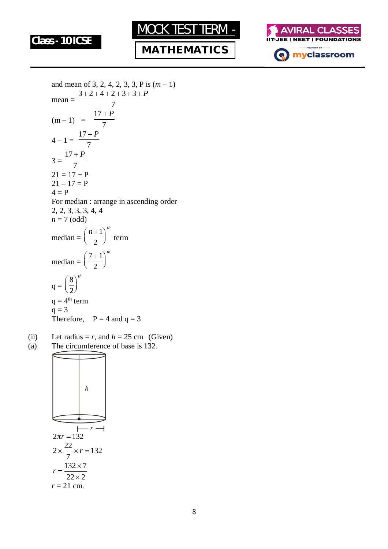





and mean of 3, 2, 4, 2, 3, 3, P is 
$$
(m-1)
$$
  
\nmean = 
$$
\frac{3+2+4+2+3+3+P}{7}
$$
  
\n $(m-1) = \frac{17+P}{7}$   
\n $4-1 = \frac{17+P}{7}$   
\n $3 = \frac{17+P}{7}$   
\n $21 = 17+P$   
\n $21 = 17+P$   
\n $4 = P$   
\nFor median : arrange in ascending order  
\n2, 2, 3, 3, 3, 4, 4  
\n $n = 7$  (odd)  
\nmedian =  $\left(\frac{n+1}{2}\right)^{th}$  term  
\nmedian =  $\left(\frac{7+1}{2}\right)^{th}$   
\n $q = \left(\frac{8}{2}\right)^{th}$   
\n $q = 4^{th}$  term  
\n $q = 3$   
\nTherefore,  $P = 4$  and  $q = 3$ 

(ii) Let radius =  $r$ , and  $h = 25$  cm (Given) (a) The circumference of base is 132.

$$
2\pi r = 132
$$
\n
$$
2 \times \frac{22}{7} \times r = 132
$$
\n
$$
r = \frac{132 \times 7}{22 \times 2}
$$
\n
$$
r = 21 \text{ cm.}
$$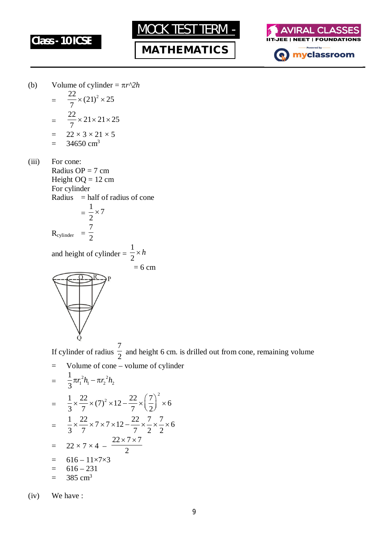

**MATHEMATICS**



(b) Volume of cylinder =  $\pi r^2 h$ 

$$
= \frac{22}{7} \times (21)^2 \times 25
$$
  
= 
$$
\frac{22}{7} \times 21 \times 21 \times 25
$$
  
= 
$$
22 \times 3 \times 21 \times 5
$$
  
= 34650 cm<sup>3</sup>

(iii) For cone: Radius  $OP = 7$  cm Height  $OQ = 12$  cm For cylinder Radius  $=$  half of radius of cone =  $\frac{1}{2} \times 7$ 2  $\times$ 7

$$
R_{cylinder} = \frac{1}{2}
$$

and height of cylinder = 1 2 *h*

 $= 6$  cm



If cylinder of radius 7  $\frac{1}{2}$  and height 6 cm. is drilled out from cone, remaining volume = Volume of cone – volume of cylinder

$$
= \frac{1}{3}\pi r_1^2 h_1 - \pi r_2^2 h_2
$$
  
\n
$$
= \frac{1}{3} \times \frac{22}{7} \times (7)^2 \times 12 - \frac{22}{7} \times \left(\frac{7}{2}\right)^2 \times 6
$$
  
\n
$$
= \frac{1}{3} \times \frac{22}{7} \times 7 \times 7 \times 12 - \frac{22}{7} \times \frac{7}{2} \times \frac{7}{2} \times 6
$$
  
\n
$$
= 22 \times 7 \times 4 - \frac{22 \times 7 \times 7}{2}
$$
  
\n
$$
= 616 - 11 \times 7 \times 3
$$
  
\n
$$
= 616 - 231
$$
  
\n
$$
= 385 \text{ cm}^3
$$

(iv) We have :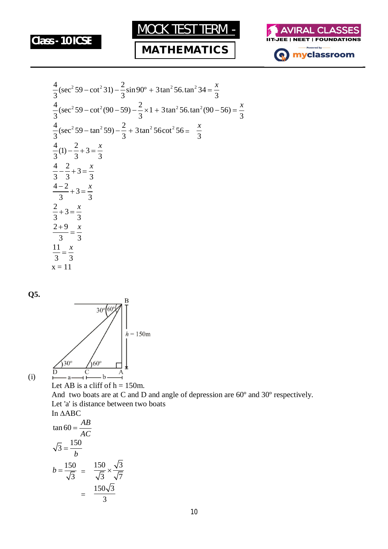

## **MATHEMATICS**



$$
\frac{4}{3}(\sec^2 59 - \cot^2 31) - \frac{2}{3}\sin 90^\circ + 3\tan^2 56.\tan^2 34 = \frac{x}{3}
$$
  
\n
$$
\frac{4}{3}(\sec^2 59 - \cot^2 (90 - 59) - \frac{2}{3} \times 1 + 3\tan^2 56.\tan^2 (90 - 56) = \frac{x}{3}
$$
  
\n
$$
\frac{4}{3}(\sec^2 59 - \tan^2 59) - \frac{2}{3} + 3\tan^2 56\cot^2 56 = \frac{x}{3}
$$
  
\n
$$
\frac{4}{3}(1) - \frac{2}{3} + 3 = \frac{x}{3}
$$
  
\n
$$
\frac{4}{3} - \frac{2}{3} + 3 = \frac{x}{3}
$$
  
\n
$$
\frac{4-2}{3} + 3 = \frac{x}{3}
$$
  
\n
$$
\frac{2+9}{3} = \frac{x}{3}
$$
  
\n
$$
\frac{11}{3} = \frac{x}{3}
$$
  
\n
$$
x = 11
$$

**Q5.**



(i)

Let AB is a cliff of  $h = 150$ m. And two boats are at C and D and angle of depression are 60º and 30º respectively. Let 'a' is distance between two boats In  $\triangle ABC$ 

$$
\tan 60 = \frac{AB}{AC}
$$
\n
$$
\sqrt{3} = \frac{150}{b}
$$
\n
$$
b = \frac{150}{\sqrt{3}} = \frac{150}{\sqrt{3}} \times \frac{\sqrt{3}}{\sqrt{7}}
$$
\n
$$
= \frac{150\sqrt{3}}{3}
$$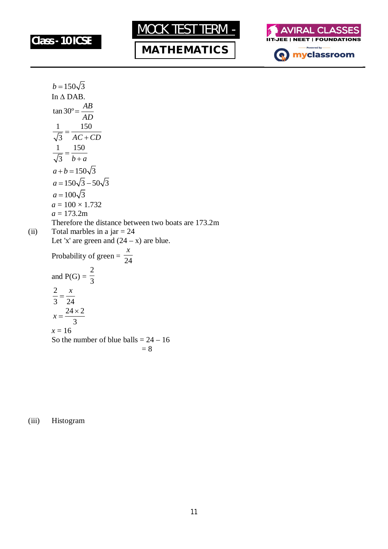







$$
b = 150\sqrt{3}
$$
  
\nIn  $\triangle$  DAB.  
\n
$$
\tan 30^\circ = \frac{AB}{AD}
$$
  
\n
$$
\frac{1}{\sqrt{3}} = \frac{150}{AC + CD}
$$
  
\n
$$
\frac{1}{\sqrt{3}} = \frac{150}{b+a}
$$
  
\n
$$
a + b = 150\sqrt{3}
$$
  
\n
$$
a = 150\sqrt{3} - 50\sqrt{3}
$$
  
\n
$$
a = 100 \times 1.732
$$
  
\n
$$
a = 100 \times 1.732
$$
  
\n
$$
a = 173.2 \text{m}
$$
  
\nTherefore the distance between two boats are 173.2m  
\nToval marbles in a jar = 24  
\nLet 'x' are green and (24 - x) are blue.  
\nProbability of green =  $\frac{x}{24}$   
\nand P(G) =  $\frac{2}{3}$   
\n
$$
\frac{2}{3} = \frac{x}{24}
$$
  
\n
$$
x = \frac{24 \times 2}{3}
$$
  
\n
$$
x = 16
$$
  
\nSo the number of blue balls = 24 - 16  
\n= 8

(iii) Histogram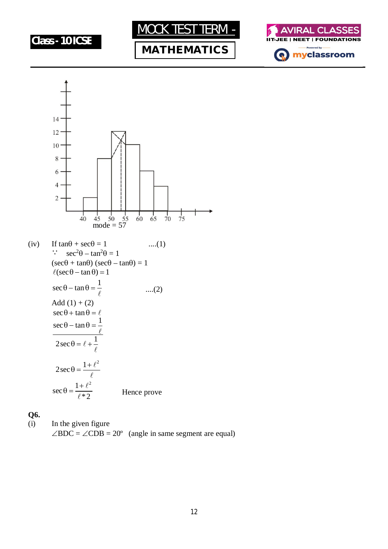

# **MATHEMATICS**





**Q6.**

(i) In the given figure  $\angle BDC = \angle CDB = 20^{\circ}$  (angle in same segment are equal)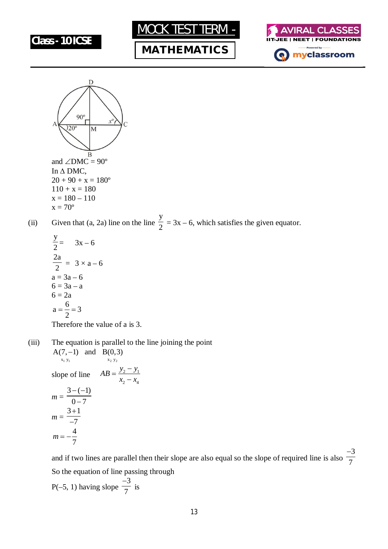







(ii) Given that (a, 2a) line on the line y  $\frac{2}{2}$  = 3x – 6, which satisfies the given equator.

$$
\frac{y}{2} = 3x - 6
$$
  

$$
\frac{2a}{2} = 3 \times a - 6
$$
  

$$
a = 3a - 6
$$
  

$$
6 = 3a - a
$$
  

$$
6 = 2a
$$
  

$$
a = \frac{6}{2} = 3
$$
  
Therefore the value of a is 3.

(iii) The equation is parallel to the line joining the point  $x_1 y_1$   $x_2 y_2$  $A(7, -1)$  and  $B(0, 3)$ slope of line  $AB = \frac{y_2 - y_1}{y_2 - y_1}$  $AB = \frac{y_2 - y_1}{ }$  $x_2 - x_4$  $=\frac{y_2-1}{x_2-1}$ <sup>-</sup>

$$
x_2 - x_4
$$
  
\n
$$
m = \frac{3 - (-1)}{0 - 7}
$$
  
\n
$$
m = \frac{3 + 1}{-7}
$$
  
\n
$$
m = -\frac{4}{7}
$$

and if two lines are parallel then their slope are also equal so the slope of required line is also 3 7  $\overline{a}$ So the equation of line passing through

 $P(-5, 1)$  having slope 3 7 is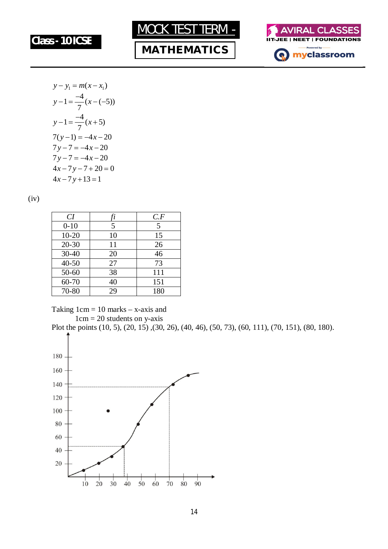





$$
y-y_1 = m(x-x_1)
$$
  
\n
$$
y-1 = \frac{-4}{7}(x-(-5))
$$
  
\n
$$
y-1 = \frac{-4}{7}(x+5)
$$
  
\n
$$
7(y-1) = -4x-20
$$
  
\n
$$
7y-7 = -4x-20
$$
  
\n
$$
4x-7y-7+20=0
$$
  
\n
$$
4x-7y+13=1
$$

(iv)

| CI        |    | C.F |
|-----------|----|-----|
| $0 - 10$  | 5  | 5   |
| $10 - 20$ | 10 | 15  |
| $20 - 30$ | 11 | 26  |
| $30 - 40$ | 20 | 46  |
| $40 - 50$ | 27 | 73  |
| $50 - 60$ | 38 | 111 |
| 60-70     | 40 | 151 |
| 70-80     | 29 | 180 |

Taking  $1 \text{cm} = 10 \text{ marks} - x$ -axis and  $1cm = 20$  students on y-axis

Plot the points (10, 5), (20, 15) ,(30, 26), (40, 46), (50, 73), (60, 111), (70, 151), (80, 180).